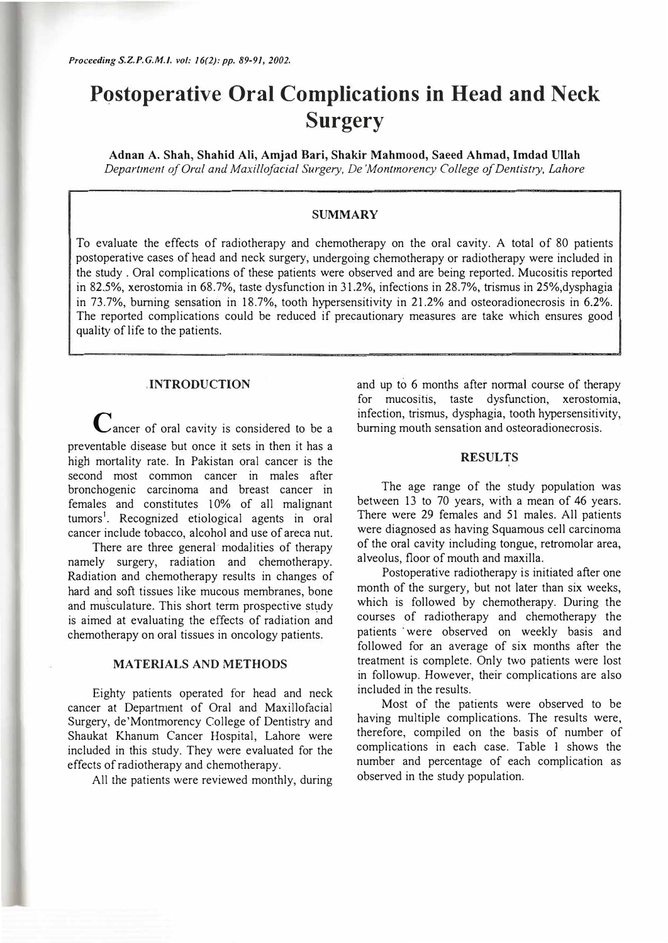# **Postoperative Oral Complications in Head and Neck Surgery**

**Adnan A. Shah, Shahid Ali, Amjad Bari, Shakir Mahmood, Saeed Ahmad, Imdad Ullah**  *Department of Oral and Maxillofacial Surgery, De 'Montmorency College of Dentistry, Lahore* 

# **SUMMARY**

To evaluate the effects of radiotherapy and chemotherapy on the oral cavity. A total of 80 patients postoperative cases of head and neck surgery, undergoing chemotherapy or radiotherapy were included in the study . Oral complications of these patients were observed and are being reported. Mucositis reported in 82.5%, xerostomia in 68.7%, taste dysfunction in 31.2%, infections in 28.7%, trismus in 25%,dysphagia in 73.7%, burning sensation in 18.7%, tooth hypersensitivity in 21.2% and osteoradionecrosis in 6.2%. The reported complications could be reduced if precautionary measures are take which ensures good quality of life to the patients.

### **.INTRODUCTION**

Cancer of oral cavity is considered to be a preventable disease but once it sets in then it has a high mortality rate. In Pakistan oral cancer is the second most common cancer in males after bronchogenic carcinoma and breast cancer in females and constitutes 10% of all malignant tumors<sup>1</sup>. Recognized etiological agents in oral cancer include tobacco, alcohol and use of areca nut.

There are three general modalities of therapy namely surgery, radiation and chemotherapy. Radiation and chemotherapy results in changes of hard and soft tissues like mucous membranes, bone and musculature. This short term prospective study is aimed at evaluating the effects of radiation and chemotherapy on oral tissues in oncology patients.

# **MATERIALS AND METHODS**

Eighty patients operated for head and neck cancer at Department of Oral and Maxillofacial Surgery, de'Montmorency College of Dentistry and Shaukat Khanum Cancer Hospital, Lahore were included in this study. They were evaluated for the effects of radiotherapy and chemotherapy.

All the patients were reviewed monthly, during

and up to 6 months after normal course of therapy for mucositis, taste dysfunction, xerostomia, infection, trismus, dysphagia, tooth hypersensitivity, burning mouth sensation and osteoradionecrosis.

#### **RESULTS**

The age range of the study population was between 13 to 70 years, with a mean of 46 years. There were 29 females and 51 males. All patients were diagnosed as having Squamous cell carcinoma of the oral cavity including tongue, retromolar area, alveolus, floor of mouth and maxilla.

Postoperative radiotherapy is initiated after one month of the surgery, but not later than six weeks, which is followed by chemotherapy. During the courses of radiotherapy and chemotherapy the patients were observed on weekly basis and followed for an average of six months after the treatment is complete. Only two patients were lost in followup. However, their complications are also included in the results.

Most of the patients were observed to be having multiple complications. The results were, therefore, compiled on the basis of number of complications in each case. Table 1 shows the number and percentage of each complication as observed in the study population.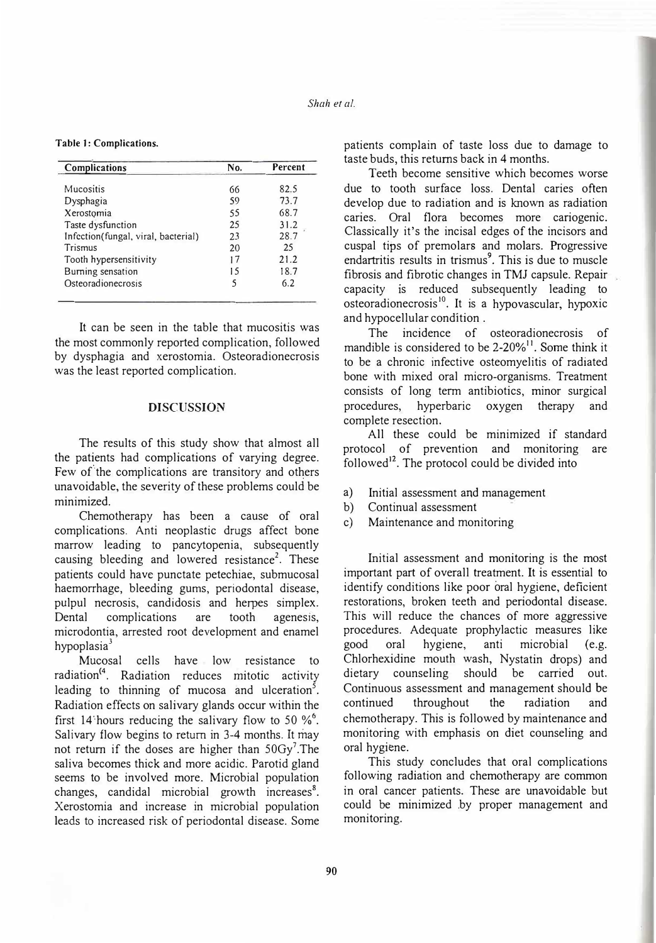#### **Table 1: Complications.**

| Complications                       | No. | Percent |
|-------------------------------------|-----|---------|
| Mucositis                           | 66  | 82.5    |
| Dysphagia                           | 59  | 73.7    |
| Xerostomia                          | 55  | 68.7    |
| Taste dysfunction                   | 25  | 31.2    |
| Infection(fungal, viral, bacterial) | 23  | 28.7    |
| Trismus                             | 20  | 25      |
| Tooth hypersensitivity              | 17  | 21.2    |
| Burning sensation                   | 15  | 18.7    |
| Osteoradionecrosis                  | 5   | 6.2     |

It can be seen in the table that mucositis was the most commonly reported complication, followed by dysphagia and xerostomia. Osteoradionecrosis was the least reported complication.

#### **DISCUSSION**

The results of this study show that almost all the patients had complications of varying degree. Few of the complications are transitory and others unavoidable, the severity of these problems could be minimized.

Chemotherapy has been a cause of oral complications. Anti neoplastic drugs affect bone marrow leading to pancytopenia, subsequently causing bleeding and lowered resistance<sup>2</sup>. These patients could have punctate petechiae, submucosal haemorrhage, bleeding gums, periodontal disease, pulpul necrosis, candidosis and herpes simplex. Dental complications are tooth agenesis, microdontia, arrested root development and enamel hypoplasia<sup>3</sup>

Mucosa! cells have low resistance to radiation<sup>(4</sup>. Radiation reduces mitotic activity leading to thinning of mucosa and ulceration<sup>5</sup>. Radiation effects on salivary glands occur within the first 14 hours reducing the salivary flow to 50  $\%$ <sup>6</sup>. Salivary flow begins to return in 3-4 months. It may not return if the doses are higher than  $50Gy^7$ . The saliva becomes thick and more acidic. Parotid gland seems to be involved more. Microbial population changes, candidal microbial growth increases<sup>8</sup>. Xerostomia and increase in microbial population leads to increased risk of periodontal disease. Some

patients complain of taste loss due to damage to taste buds, this returns back in 4 months.

Teeth become sensitive which becomes worse due to tooth surface loss. Dental caries often develop due to radiation and is known as radiation caries. Oral flora becomes more cariogenic. Classically it's the incisal edges of the incisors and cuspal tips of premolars and molars. Progressive endartritis results in trismus<sup>9</sup>. This is due to muscle fibrosis and fibrotic changes in TMJ capsule. Repair capacity is reduced subsequently leading to osteoradionecrosis<sup>10</sup>. It is a hypovascular, hypoxic and hypocellular condition .

The incidence of osteoradionecrosis of mandible is considered to be 2-20%<sup>11</sup>. Some think it to be a chronic infective osteomyelitis of radiated bone with mixed oral micro-organisms. Treatment consists of long term antibiotics, minor surgical procedures, hyperbaric oxygen therapy and complete resection.

All these could be minimized if standard protocol of prevention and monitoring are followed<sup>12</sup>. The protocol could be divided into

- a) Initial assessment and management
- b) Continual assessment
- c) Maintenance and monitoring

Initial assessment and monitoring is the most important part of overall treatment. It is essential to identify conditions like poor oral hygiene, deficient restorations, broken teeth and periodontal disease. This will reduce the chances of more aggressive procedures. Adequate prophylactic measures like good oral hygiene, anti microbial (e.g. Chlorhexidine mouth wash, Nystatin drops) and dietary counseling should be carried out. Continuous assessment and management should be continued throughout the radiation and chemotherapy. This is followed by maintenance and monitoring with emphasis on diet counseling and oral hygiene.

This study concludes that oral complications following radiation and chemotherapy are common in oral cancer patients. These are unavoidable but could be minimized .by proper management and monitoring.